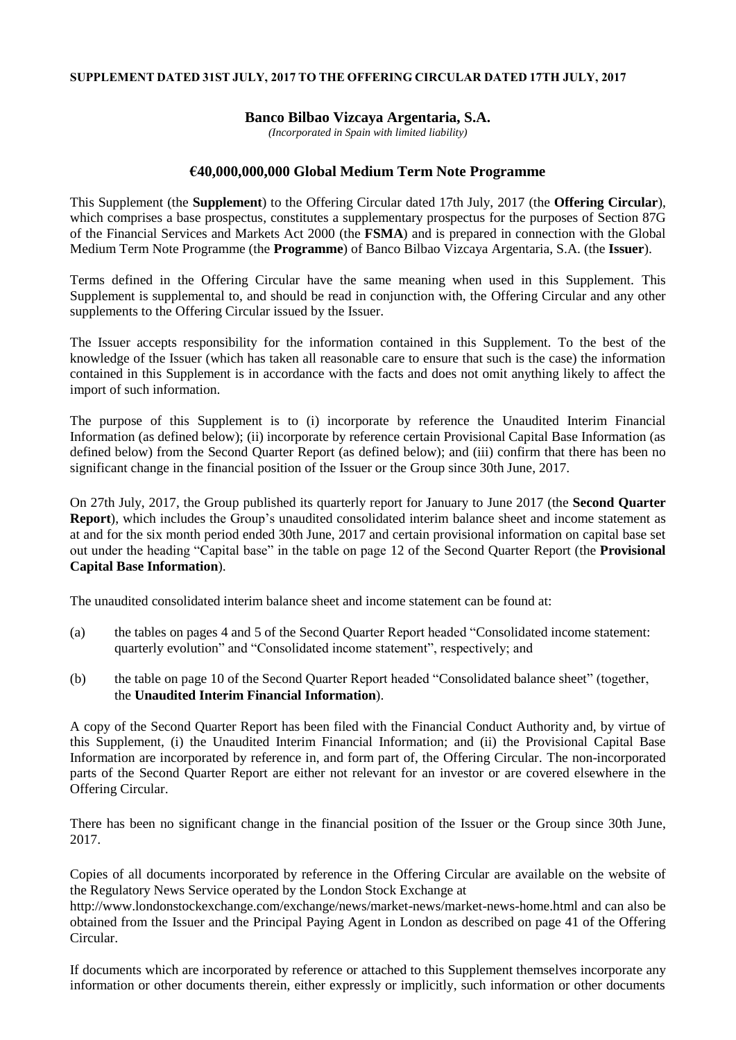## **SUPPLEMENT DATED 31ST JULY, 2017 TO THE OFFERING CIRCULAR DATED 17TH JULY, 2017**

## **Banco Bilbao Vizcaya Argentaria, S.A.**

*(Incorporated in Spain with limited liability)*

## **€40,000,000,000 Global Medium Term Note Programme**

This Supplement (the **Supplement**) to the Offering Circular dated 17th July, 2017 (the **Offering Circular**), which comprises a base prospectus, constitutes a supplementary prospectus for the purposes of Section 87G of the Financial Services and Markets Act 2000 (the **FSMA**) and is prepared in connection with the Global Medium Term Note Programme (the **Programme**) of Banco Bilbao Vizcaya Argentaria, S.A. (the **Issuer**).

Terms defined in the Offering Circular have the same meaning when used in this Supplement. This Supplement is supplemental to, and should be read in conjunction with, the Offering Circular and any other supplements to the Offering Circular issued by the Issuer.

The Issuer accepts responsibility for the information contained in this Supplement. To the best of the knowledge of the Issuer (which has taken all reasonable care to ensure that such is the case) the information contained in this Supplement is in accordance with the facts and does not omit anything likely to affect the import of such information.

The purpose of this Supplement is to (i) incorporate by reference the Unaudited Interim Financial Information (as defined below); (ii) incorporate by reference certain Provisional Capital Base Information (as defined below) from the Second Quarter Report (as defined below); and (iii) confirm that there has been no significant change in the financial position of the Issuer or the Group since 30th June, 2017.

On 27th July, 2017, the Group published its quarterly report for January to June 2017 (the **Second Quarter Report**), which includes the Group's unaudited consolidated interim balance sheet and income statement as at and for the six month period ended 30th June, 2017 and certain provisional information on capital base set out under the heading "Capital base" in the table on page 12 of the Second Quarter Report (the **Provisional Capital Base Information**).

The unaudited consolidated interim balance sheet and income statement can be found at:

- (a) the tables on pages 4 and 5 of the Second Quarter Report headed "Consolidated income statement: quarterly evolution" and "Consolidated income statement", respectively; and
- (b) the table on page 10 of the Second Quarter Report headed "Consolidated balance sheet" (together, the **Unaudited Interim Financial Information**).

A copy of the Second Quarter Report has been filed with the Financial Conduct Authority and, by virtue of this Supplement, (i) the Unaudited Interim Financial Information; and (ii) the Provisional Capital Base Information are incorporated by reference in, and form part of, the Offering Circular. The non-incorporated parts of the Second Quarter Report are either not relevant for an investor or are covered elsewhere in the Offering Circular.

There has been no significant change in the financial position of the Issuer or the Group since 30th June, 2017.

Copies of all documents incorporated by reference in the Offering Circular are available on the website of the Regulatory News Service operated by the London Stock Exchange at

http://www.londonstockexchange.com/exchange/news/market-news/market-news-home.html and can also be obtained from the Issuer and the Principal Paying Agent in London as described on page 41 of the Offering Circular.

If documents which are incorporated by reference or attached to this Supplement themselves incorporate any information or other documents therein, either expressly or implicitly, such information or other documents